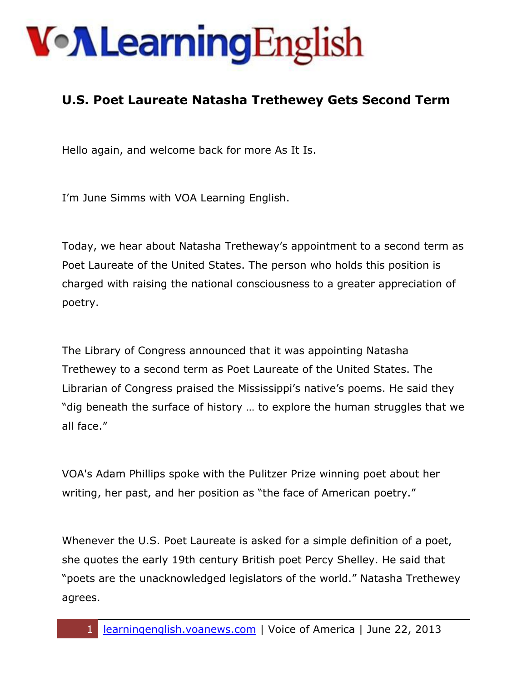#### **U.S. Poet Laureate Natasha Trethewey Gets Second Term**

Hello again, and welcome back for more As It Is.

I'm June Simms with VOA Learning English.

Today, we hear about Natasha Tretheway's appointment to a second term as Poet Laureate of the United States. The person who holds this position is charged with raising the national consciousness to a greater appreciation of poetry.

The Library of Congress announced that it was appointing Natasha Trethewey to a second term as Poet Laureate of the United States. The Librarian of Congress praised the Mississippi's native's poems. He said they "dig beneath the surface of history … to explore the human struggles that we all face."

VOA's Adam Phillips spoke with the Pulitzer Prize winning poet about her writing, her past, and her position as "the face of American poetry."

Whenever the U.S. Poet Laureate is asked for a simple definition of a poet, she quotes the early 19th century British poet Percy Shelley. He said that "poets are the unacknowledged legislators of the world." Natasha Trethewey agrees.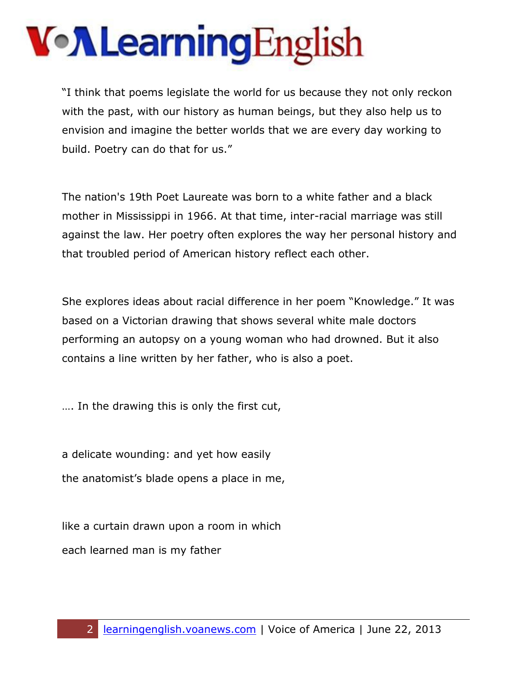"I think that poems legislate the world for us because they not only reckon with the past, with our history as human beings, but they also help us to envision and imagine the better worlds that we are every day working to build. Poetry can do that for us."

The nation's 19th Poet Laureate was born to a white father and a black mother in Mississippi in 1966. At that time, inter-racial marriage was still against the law. Her poetry often explores the way her personal history and that troubled period of American history reflect each other.

She explores ideas about racial difference in her poem "Knowledge." It was based on a Victorian drawing that shows several white male doctors performing an autopsy on a young woman who had drowned. But it also contains a line written by her father, who is also a poet.

…. In the drawing this is only the first cut,

a delicate wounding: and yet how easily the anatomist's blade opens a place in me,

like a curtain drawn upon a room in which each learned man is my father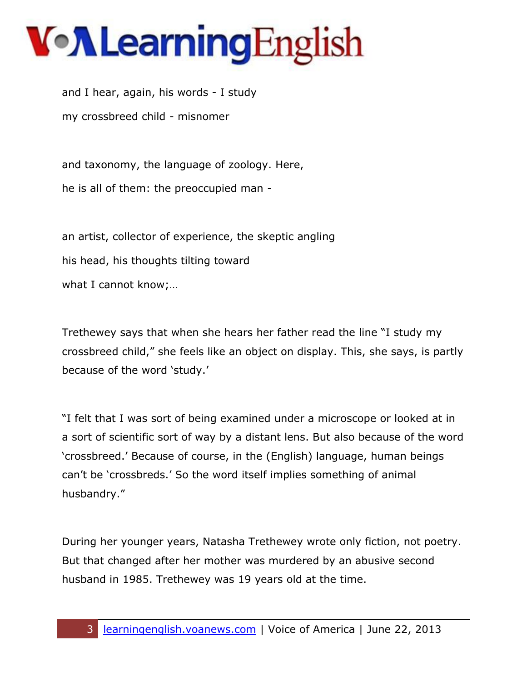# VollearningEnglish

and I hear, again, his words - I study my crossbreed child - misnomer

and taxonomy, the language of zoology. Here, he is all of them: the preoccupied man -

an artist, collector of experience, the skeptic angling his head, his thoughts tilting toward what I cannot know;…

Trethewey says that when she hears her father read the line "I study my crossbreed child," she feels like an object on display. This, she says, is partly because of the word 'study.'

"I felt that I was sort of being examined under a microscope or looked at in a sort of scientific sort of way by a distant lens. But also because of the word 'crossbreed.' Because of course, in the (English) language, human beings can't be 'crossbreds.' So the word itself implies something of animal husbandry."

During her younger years, Natasha Trethewey wrote only fiction, not poetry. But that changed after her mother was murdered by an abusive second husband in 1985. Trethewey was 19 years old at the time.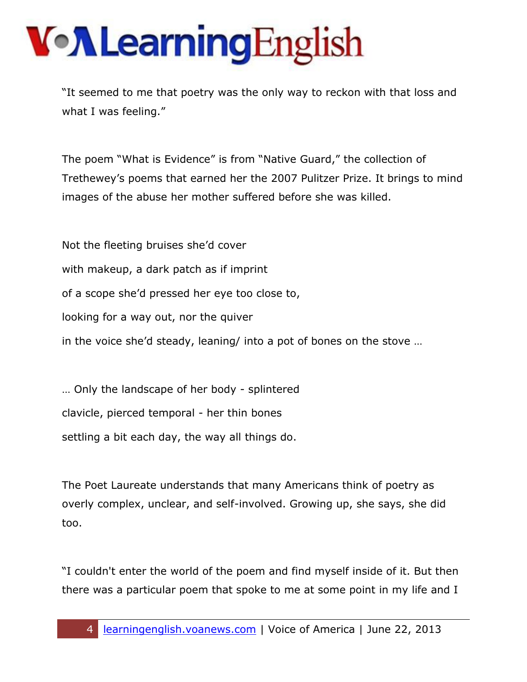"It seemed to me that poetry was the only way to reckon with that loss and what I was feeling."

The poem "What is Evidence" is from "Native Guard," the collection of Trethewey's poems that earned her the 2007 Pulitzer Prize. It brings to mind images of the abuse her mother suffered before she was killed.

Not the fleeting bruises she'd cover with makeup, a dark patch as if imprint of a scope she'd pressed her eye too close to, looking for a way out, nor the quiver in the voice she'd steady, leaning/ into a pot of bones on the stove …

… Only the landscape of her body - splintered clavicle, pierced temporal - her thin bones settling a bit each day, the way all things do.

The Poet Laureate understands that many Americans think of poetry as overly complex, unclear, and self-involved. Growing up, she says, she did too.

"I couldn't enter the world of the poem and find myself inside of it. But then there was a particular poem that spoke to me at some point in my life and I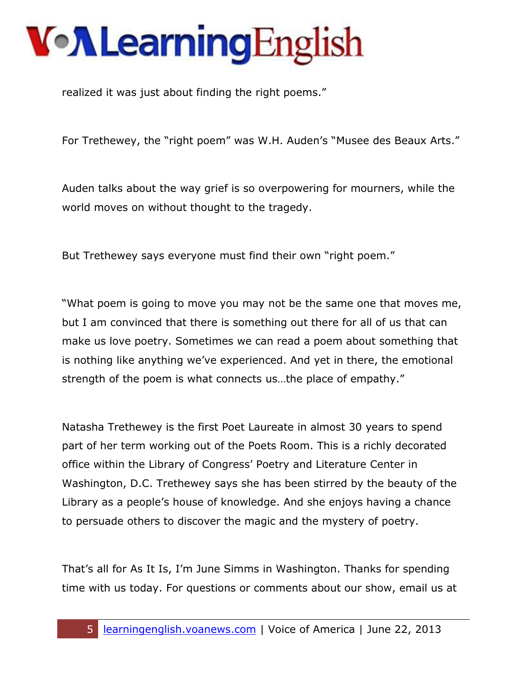realized it was just about finding the right poems."

For Trethewey, the "right poem" was W.H. Auden's "Musee des Beaux Arts."

Auden talks about the way grief is so overpowering for mourners, while the world moves on without thought to the tragedy.

But Trethewey says everyone must find their own "right poem."

"What poem is going to move you may not be the same one that moves me, but I am convinced that there is something out there for all of us that can make us love poetry. Sometimes we can read a poem about something that is nothing like anything we've experienced. And yet in there, the emotional strength of the poem is what connects us…the place of empathy."

Natasha Trethewey is the first Poet Laureate in almost 30 years to spend part of her term working out of the Poets Room. This is a richly decorated office within the Library of Congress' Poetry and Literature Center in Washington, D.C. Trethewey says she has been stirred by the beauty of the Library as a people's house of knowledge. And she enjoys having a chance to persuade others to discover the magic and the mystery of poetry.

That's all for As It Is, I'm June Simms in Washington. Thanks for spending time with us today. For questions or comments about our show, email us at